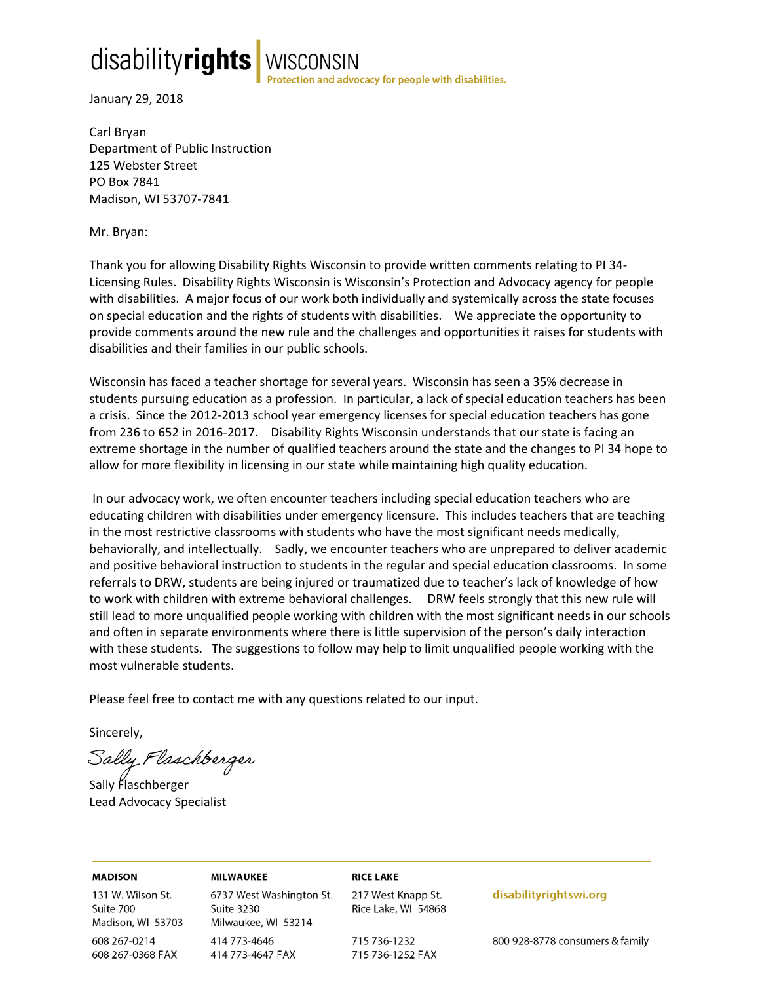# disabilityrights

WISCONSIN<br>rotection and advocacy for people with disabilities.

January 29, 2018

Carl Bryan Department of Public Instruction 125 Webster Street PO Box 7841 Madison, WI 53707-7841

Mr. Bryan:

Thank you for allowing Disability Rights Wisconsin to provide written comments relating to PI 34- Licensing Rules. Disability Rights Wisconsin is Wisconsin's Protection and Advocacy agency for people with disabilities. A major focus of our work both individually and systemically across the state focuses on special education and the rights of students with disabilities. We appreciate the opportunity to provide comments around the new rule and the challenges and opportunities it raises for students with disabilities and their families in our public schools.

Wisconsin has faced a teacher shortage for several years. Wisconsin has seen a 35% decrease in students pursuing education as a profession. In particular, a lack of special education teachers has been a crisis. Since the 2012-2013 school year emergency licenses for special education teachers has gone from 236 to 652 in 2016-2017. Disability Rights Wisconsin understands that our state is facing an extreme shortage in the number of qualified teachers around the state and the changes to PI 34 hope to allow for more flexibility in licensing in our state while maintaining high quality education.

In our advocacy work, we often encounter teachers including special education teachers who are educating children with disabilities under emergency licensure. This includes teachers that are teaching in the most restrictive classrooms with students who have the most significant needs medically, behaviorally, and intellectually. Sadly, we encounter teachers who are unprepared to deliver academic and positive behavioral instruction to students in the regular and special education classrooms. In some referrals to DRW, students are being injured or traumatized due to teacher's lack of knowledge of how to work with children with extreme behavioral challenges. DRW feels strongly that this new rule will still lead to more unqualified people working with children with the most significant needs in our schools and often in separate environments where there is little supervision of the person's daily interaction with these students. The suggestions to follow may help to limit unqualified people working with the most vulnerable students.

Please feel free to contact me with any questions related to our input.

Sincerely,

Sally Flaschberger

Sally Flaschberger Lead Advocacy Specialist

**MADISON** 131 W. Wilson St. Suite 700 Madison, WI 53703 608 267-0214 608 267-0368 FAX

**MILWAUKEE** 6737 West Washington St. Suite 3230 Milwaukee, WI 53214 414 773-4646 414 773-4647 FAX

**RICE LAKE** 217 West Knapp St.

Rice Lake, WI 54868

715 736-1232 715 736-1252 FAX disabilityrightswi.org

800 928-8778 consumers & family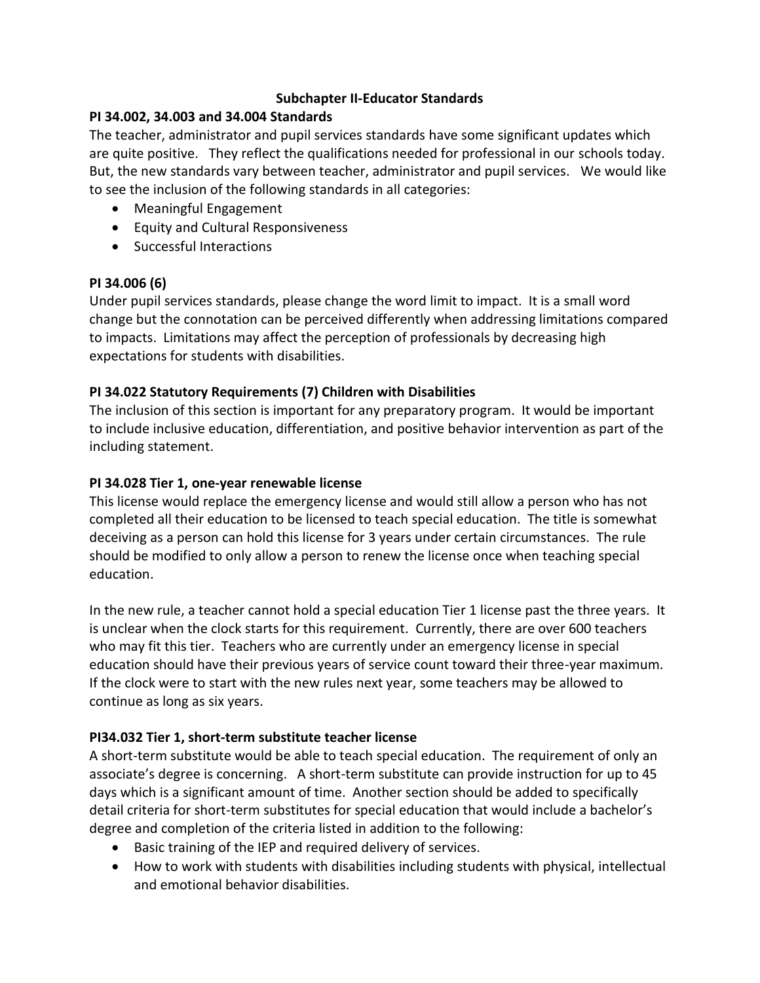## **Subchapter II-Educator Standards**

### **PI 34.002, 34.003 and 34.004 Standards**

The teacher, administrator and pupil services standards have some significant updates which are quite positive. They reflect the qualifications needed for professional in our schools today. But, the new standards vary between teacher, administrator and pupil services. We would like to see the inclusion of the following standards in all categories:

- Meaningful Engagement
- Equity and Cultural Responsiveness
- Successful Interactions

### **PI 34.006 (6)**

Under pupil services standards, please change the word limit to impact. It is a small word change but the connotation can be perceived differently when addressing limitations compared to impacts. Limitations may affect the perception of professionals by decreasing high expectations for students with disabilities.

# **PI 34.022 Statutory Requirements (7) Children with Disabilities**

The inclusion of this section is important for any preparatory program. It would be important to include inclusive education, differentiation, and positive behavior intervention as part of the including statement.

### **PI 34.028 Tier 1, one-year renewable license**

This license would replace the emergency license and would still allow a person who has not completed all their education to be licensed to teach special education. The title is somewhat deceiving as a person can hold this license for 3 years under certain circumstances. The rule should be modified to only allow a person to renew the license once when teaching special education.

In the new rule, a teacher cannot hold a special education Tier 1 license past the three years. It is unclear when the clock starts for this requirement. Currently, there are over 600 teachers who may fit this tier. Teachers who are currently under an emergency license in special education should have their previous years of service count toward their three-year maximum. If the clock were to start with the new rules next year, some teachers may be allowed to continue as long as six years.

### **PI34.032 Tier 1, short-term substitute teacher license**

A short-term substitute would be able to teach special education. The requirement of only an associate's degree is concerning. A short-term substitute can provide instruction for up to 45 days which is a significant amount of time. Another section should be added to specifically detail criteria for short-term substitutes for special education that would include a bachelor's degree and completion of the criteria listed in addition to the following:

- Basic training of the IEP and required delivery of services.
- How to work with students with disabilities including students with physical, intellectual and emotional behavior disabilities.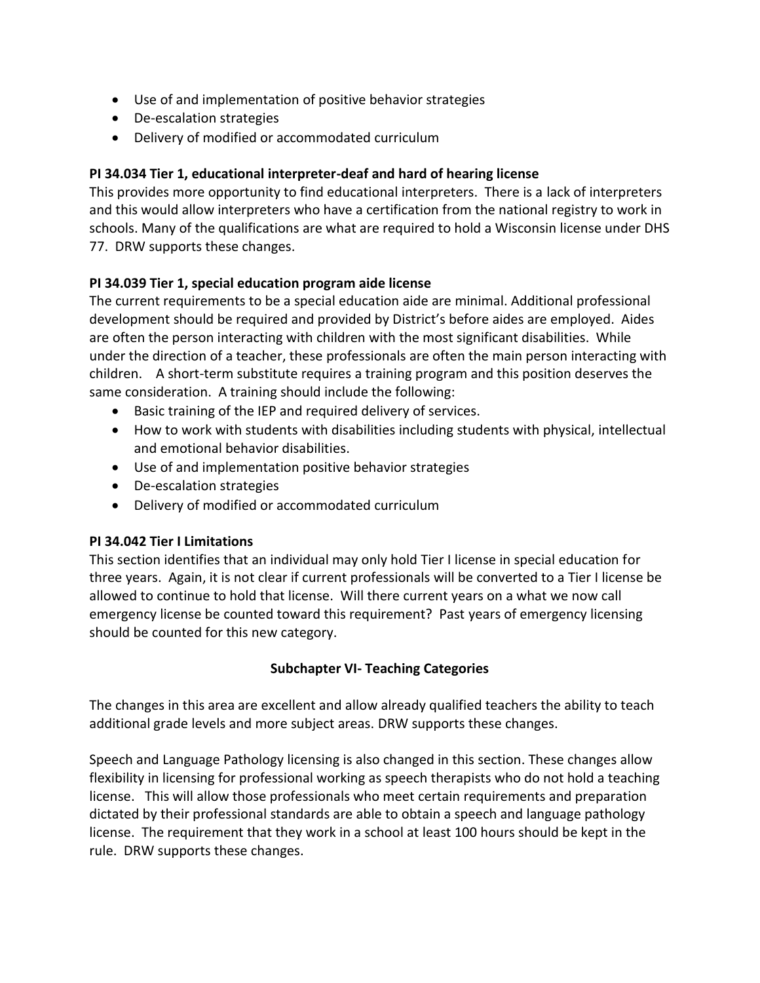- Use of and implementation of positive behavior strategies
- De-escalation strategies
- Delivery of modified or accommodated curriculum

## **PI 34.034 Tier 1, educational interpreter-deaf and hard of hearing license**

This provides more opportunity to find educational interpreters. There is a lack of interpreters and this would allow interpreters who have a certification from the national registry to work in schools. Many of the qualifications are what are required to hold a Wisconsin license under DHS 77. DRW supports these changes.

### **PI 34.039 Tier 1, special education program aide license**

The current requirements to be a special education aide are minimal. Additional professional development should be required and provided by District's before aides are employed. Aides are often the person interacting with children with the most significant disabilities. While under the direction of a teacher, these professionals are often the main person interacting with children. A short-term substitute requires a training program and this position deserves the same consideration. A training should include the following:

- Basic training of the IEP and required delivery of services.
- How to work with students with disabilities including students with physical, intellectual and emotional behavior disabilities.
- Use of and implementation positive behavior strategies
- De-escalation strategies
- Delivery of modified or accommodated curriculum

### **PI 34.042 Tier I Limitations**

This section identifies that an individual may only hold Tier I license in special education for three years. Again, it is not clear if current professionals will be converted to a Tier I license be allowed to continue to hold that license. Will there current years on a what we now call emergency license be counted toward this requirement? Past years of emergency licensing should be counted for this new category.

### **Subchapter VI- Teaching Categories**

The changes in this area are excellent and allow already qualified teachers the ability to teach additional grade levels and more subject areas. DRW supports these changes.

Speech and Language Pathology licensing is also changed in this section. These changes allow flexibility in licensing for professional working as speech therapists who do not hold a teaching license. This will allow those professionals who meet certain requirements and preparation dictated by their professional standards are able to obtain a speech and language pathology license. The requirement that they work in a school at least 100 hours should be kept in the rule. DRW supports these changes.